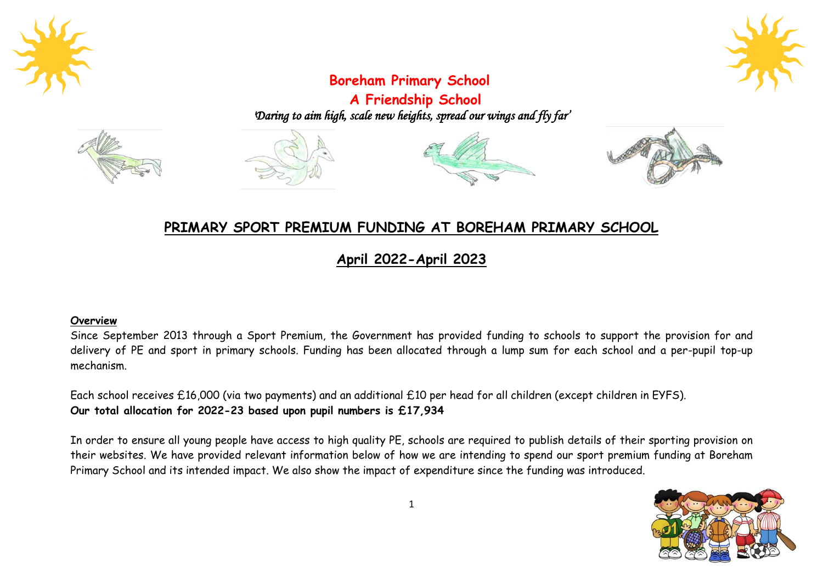



# **Boreham Primary School**

**A Friendship School** *'Daring to aim high, scale new heights, spread our wings and fly far'* 









## **PRIMARY SPORT PREMIUM FUNDING AT BOREHAM PRIMARY SCHOOL**

**April 2022-April 2023**

### **Overview**

Since September 2013 through a Sport Premium, the Government has provided funding to schools to support the provision for and delivery of PE and sport in primary schools. Funding has been allocated through a lump sum for each school and a per-pupil top-up mechanism.

Each school receives £16,000 (via two payments) and an additional £10 per head for all children (except children in EYFS). **Our total allocation for 2022-23 based upon pupil numbers is £17,934**

In order to ensure all young people have access to high quality PE, schools are required to publish details of their sporting provision on their websites. We have provided relevant information below of how we are intending to spend our sport premium funding at Boreham Primary School and its intended impact. We also show the impact of expenditure since the funding was introduced.

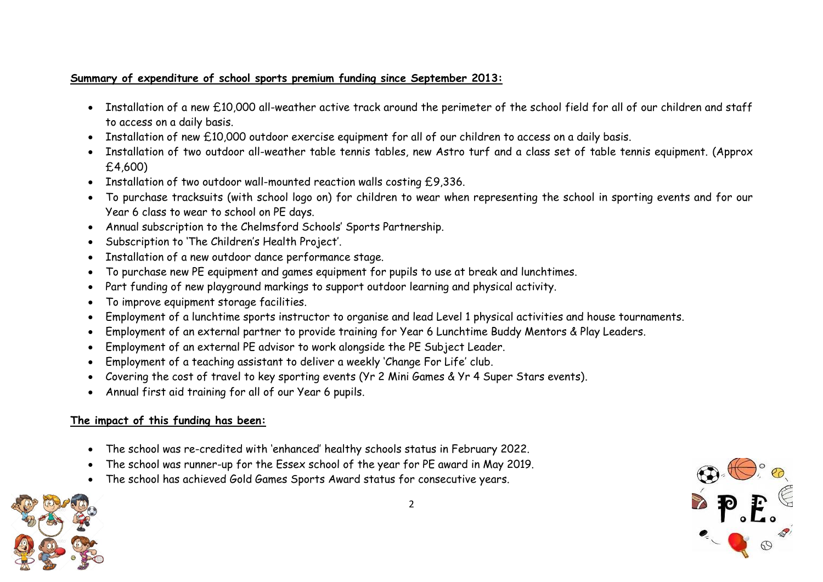## **Summary of expenditure of school sports premium funding since September 2013:**

- Installation of a new £10,000 all-weather active track around the perimeter of the school field for all of our children and staff to access on a daily basis.
- Installation of new £10,000 outdoor exercise equipment for all of our children to access on a daily basis.
- Installation of two outdoor all-weather table tennis tables, new Astro turf and a class set of table tennis equipment. (Approx £4,600)
- Installation of two outdoor wall-mounted reaction walls costing £9,336.
- To purchase tracksuits (with school logo on) for children to wear when representing the school in sporting events and for our Year 6 class to wear to school on PE days.
- Annual subscription to the Chelmsford Schools' Sports Partnership.
- Subscription to 'The Children's Health Project'.
- Installation of a new outdoor dance performance stage.
- To purchase new PE equipment and games equipment for pupils to use at break and lunchtimes.
- Part funding of new playground markings to support outdoor learning and physical activity.
- To improve equipment storage facilities.
- Employment of a lunchtime sports instructor to organise and lead Level 1 physical activities and house tournaments.
- Employment of an external partner to provide training for Year 6 Lunchtime Buddy Mentors & Play Leaders.
- Employment of an external PE advisor to work alongside the PE Subject Leader.
- Employment of a teaching assistant to deliver a weekly 'Change For Life' club.
- Covering the cost of travel to key sporting events (Yr 2 Mini Games & Yr 4 Super Stars events).
- Annual first aid training for all of our Year 6 pupils.

## **The impact of this funding has been:**

- The school was re-credited with 'enhanced' healthy schools status in February 2022.
- The school was runner-up for the Essex school of the year for PE award in May 2019.
- The school has achieved Gold Games Sports Award status for consecutive years.

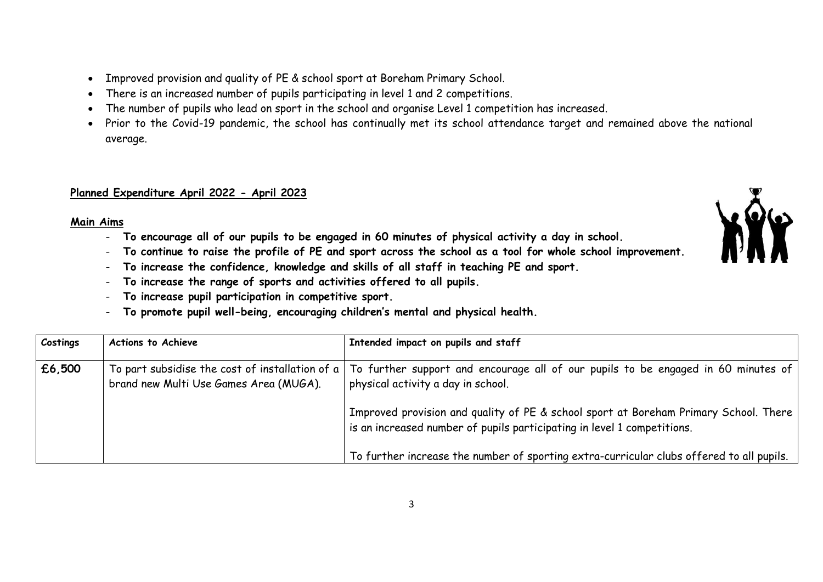- Improved provision and quality of PE & school sport at Boreham Primary School.
- There is an increased number of pupils participating in level 1 and 2 competitions.
- The number of pupils who lead on sport in the school and organise Level 1 competition has increased.
- Prior to the Covid-19 pandemic, the school has continually met its school attendance target and remained above the national average.

### **Planned Expenditure April 2022 - April 2023**

#### **Main Aims**

- **To encourage all of our pupils to be engaged in 60 minutes of physical activity a day in school.**
- **To continue to raise the profile of PE and sport across the school as a tool for whole school improvement.**
- **To increase the confidence, knowledge and skills of all staff in teaching PE and sport.**
- **To increase the range of sports and activities offered to all pupils.**
- **To increase pupil participation in competitive sport.**
- **To promote pupil well-being, encouraging children's mental and physical health.**

| Costings                                                                                                   | <b>Actions to Achieve</b> | Intended impact on pupils and staff                                                                                                                             |
|------------------------------------------------------------------------------------------------------------|---------------------------|-----------------------------------------------------------------------------------------------------------------------------------------------------------------|
| £6,500<br>To part subsidise the cost of installation of $a \mid$<br>brand new Multi Use Games Area (MUGA). |                           | To further support and encourage all of our pupils to be engaged in 60 minutes of<br>physical activity a day in school.                                         |
|                                                                                                            |                           | Improved provision and quality of PE & school sport at Boreham Primary School. There<br>is an increased number of pupils participating in level 1 competitions. |
|                                                                                                            |                           | To further increase the number of sporting extra-curricular clubs offered to all pupils.                                                                        |

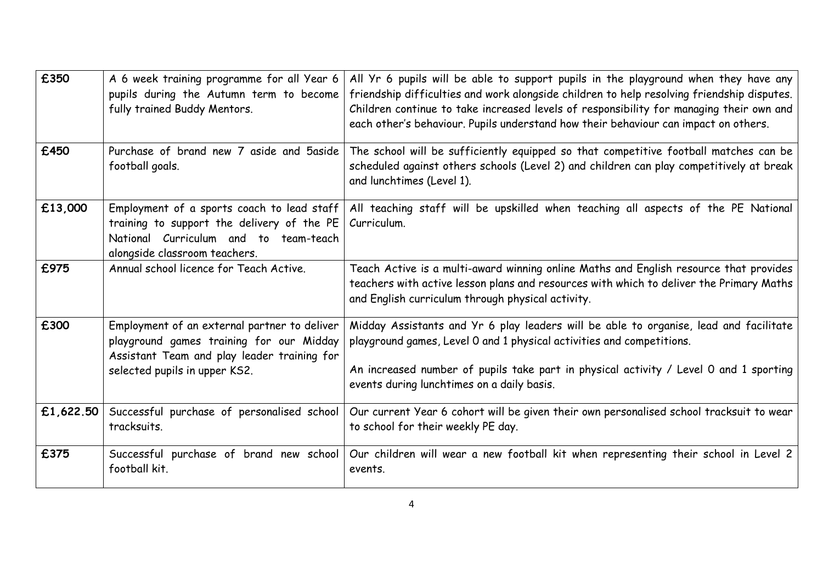| £350      | A 6 week training programme for all Year 6<br>pupils during the Autumn term to become<br>fully trained Buddy Mentors.                                                    | All Yr 6 pupils will be able to support pupils in the playground when they have any<br>friendship difficulties and work alongside children to help resolving friendship disputes.<br>Children continue to take increased levels of responsibility for managing their own and<br>each other's behaviour. Pupils understand how their behaviour can impact on others. |
|-----------|--------------------------------------------------------------------------------------------------------------------------------------------------------------------------|---------------------------------------------------------------------------------------------------------------------------------------------------------------------------------------------------------------------------------------------------------------------------------------------------------------------------------------------------------------------|
| £450      | Purchase of brand new 7 aside and 5 aside<br>football goals.                                                                                                             | The school will be sufficiently equipped so that competitive football matches can be<br>scheduled against others schools (Level 2) and children can play competitively at break<br>and lunchtimes (Level 1).                                                                                                                                                        |
| £13,000   | Employment of a sports coach to lead staff<br>training to support the delivery of the PE<br>National Curriculum and to team-teach<br>alongside classroom teachers.       | All teaching staff will be upskilled when teaching all aspects of the PE National<br>Curriculum.                                                                                                                                                                                                                                                                    |
| £975      | Annual school licence for Teach Active.                                                                                                                                  | Teach Active is a multi-award winning online Maths and English resource that provides<br>teachers with active lesson plans and resources with which to deliver the Primary Maths<br>and English curriculum through physical activity.                                                                                                                               |
| £300      | Employment of an external partner to deliver<br>playground games training for our Midday<br>Assistant Team and play leader training for<br>selected pupils in upper KS2. | Midday Assistants and Yr 6 play leaders will be able to organise, lead and facilitate<br>playground games, Level 0 and 1 physical activities and competitions.<br>An increased number of pupils take part in physical activity / Level 0 and 1 sporting<br>events during lunchtimes on a daily basis.                                                               |
| £1,622.50 | Successful purchase of personalised school<br>tracksuits.                                                                                                                | Our current Year 6 cohort will be given their own personalised school tracksuit to wear<br>to school for their weekly PE day.                                                                                                                                                                                                                                       |
| £375      | Successful purchase of brand new school<br>football kit.                                                                                                                 | Our children will wear a new football kit when representing their school in Level 2<br>events.                                                                                                                                                                                                                                                                      |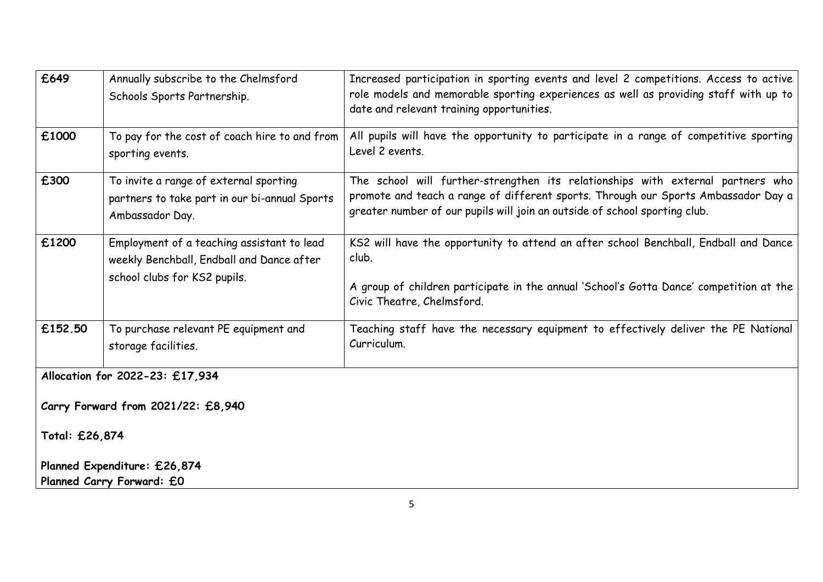| £649                               | Annually subscribe to the Chelmsford<br>Schools Sports Partnership.                                                     | Increased participation in sporting events and level 2 competitions. Access to active<br>role models and memorable sporting experiences as well as providing staff with up to<br>date and relevant training opportunities.                          |  |  |  |
|------------------------------------|-------------------------------------------------------------------------------------------------------------------------|-----------------------------------------------------------------------------------------------------------------------------------------------------------------------------------------------------------------------------------------------------|--|--|--|
| £1000                              | To pay for the cost of coach hire to and from<br>sporting events.                                                       | All pupils will have the opportunity to participate in a range of competitive sporting<br>Level 2 events.                                                                                                                                           |  |  |  |
| £300                               | To invite a range of external sporting<br>partners to take part in our bi-annual Sports<br>Ambassador Day.              | The school will further-strengthen its relationships with external partners who<br>promote and teach a range of different sports. Through our Sports Ambassador Day a<br>greater number of our pupils will join an outside of school sporting club. |  |  |  |
| £1200                              | Employment of a teaching assistant to lead<br>weekly Benchball, Endball and Dance after<br>school clubs for KS2 pupils. | KS2 will have the opportunity to attend an after school Benchball, Endball and Dance<br>club.<br>A group of children participate in the annual 'School's Gotta Dance' competition at the<br>Civic Theatre, Chelmsford.                              |  |  |  |
| £152.50                            | To purchase relevant PE equipment and<br>storage facilities.                                                            | Teaching staff have the necessary equipment to effectively deliver the PE National<br>Curriculum.                                                                                                                                                   |  |  |  |
| Allocation for 2022-23: £17,934    |                                                                                                                         |                                                                                                                                                                                                                                                     |  |  |  |
| Carry Forward from 2021/22: £8,940 |                                                                                                                         |                                                                                                                                                                                                                                                     |  |  |  |
| Total: £26,874                     |                                                                                                                         |                                                                                                                                                                                                                                                     |  |  |  |

**Planned Expenditure: £26,874 Planned Carry Forward: £0**